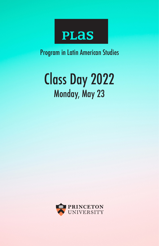

Program in Latin American Studies

# Class Day 2022 Monday, May 23

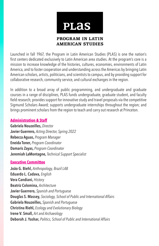

#### PROGRAM IN LATIN **AMERICAN STUDIES**

Launched in fall 1967, the Program in Latin American Studies (PLAS) is one the nation's first centers dedicated exclusively to Latin American area studies. At the program's core is a mission to increase knowledge of the histories, cultures, economies, environments of Latin America, and to foster cooperation and understanding across the Americas by bringing Latin American scholars, artists, politicians, and scientists to campus, and by providing support for collaborative research, community service, and cultural exchanges in the region.

In addition to a broad array of public programming, and undergraduate and graduate courses in a range of disciplines, PLAS funds undergraduate, graduate student, and faculty field research; provides support for innovative study and travel proposals via the competitive Sigmund Scholars Award; supports undergraduate internships throughout the region; and brings prominent scholars from the region to teach and carry out research at Princeton.

#### **Administration & Staff**

**Gabriela Nouzeilles,** *Director* **Javier Guerrero,** *Acting Director, Spring 2022* **Rebecca Aguas,** *Program Manager* **Eneida Toner,** *Program Coordinator* **Damaris Zayas,** *Program Coordinator* **Jeremiah LaMontagne,** *Technical Support Specialist*

#### **Executive Committee**

**João G. Biehl,** *Anthropology, Brazil LAB* **Eduardo L. Cadava,** *English* **Vera Candiani,** *History* **Beatriz Colomina,** *Architecture* **Javier Guerrero,** *Spanish and Portuguese* **Douglas S. Massey,** *Sociology, School of Public and International Affairs* **Gabriela Nouzeilles,** *Spanish and Portuguese* **Christina Riehl,** *Ecology and Evolutionary Biology* **Irene V. Small,** *Art and Archaeology* **Deborah J. Yashar,** *Politics, School of Public and International Affairs*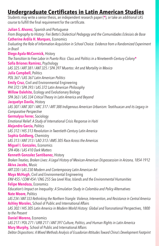### **Undergraduate Certificates in Latin American Studies**

Students may write a senior thesis, an independent research paper (**\***), or take an additional LAS course to fulfill the final requirement for the certificate.

**Julian S. Alvarez,** Spanish and Portuguese *From Biography to History: Frei Betto's Dialectical Pedagogy and the Comunidades Eclesiais de Base* **Catherine Ardila H. Marques,** Economics *Evaluating the Role of Information Acquisition in School Choice: Evidence from a Randomized Experiment in Brazil* **Diego Ayala-McCormick,** History *The Transition to Free Labor in Puerto Rico: Class and Politics in a Nineteenth-Century Colony***\* Sofía Briones Ramirez,** Psychology *LAS 325 / ART 381 / ANT 325 / SPA 397 Muertos: Art and Mortality in Mexico* **Julia Campbell,** Politics *POL 367 / LAS 367 Latin American Politics* **Emily Cruz,** Civil and Environmental Engineering *PHI 372 / SPA 393 / LAS 372 Latin American Philosophy* **Willow Dalehite,** Ecology and Evolutionary Biology *SPA 363 / LAS 334 Critical Theory in Latin America and Beyond* **Jacquelyn Davila,** History *LAS 307 / ANT 307 / ARC 317 / ART 388 Indigenous American Urbanism: Teotihuacan and its Legacy in Comparative Perspective* **Germalysa Ferrer,** Sociology *Emotional Relief: A Study of International Crisis Response in Haiti* **Alejandro Garcia,** Politics *LAS 312 / HIS 313 Revolution in Twentieth-Century Latin America* **Sophia Goldberg,** Chemistry *LAS 313 / ANT 313 / LAO 313 / AMS 305 Race Across the Americas* **Miguel I. Gonzales,** Economics *SPA 406 / LAS 410 Dark Matters* **Kenneth Gonzalez Santibanez,** History *Broken Treaties, Broken Lives: A Legal History of Mexican-American Dispossession in Arizona, 1854-1912* **Akiva Jacobs,** Music *ART 220 / LAS 230 Modern and Contemporary Latin American Art* **Maya McHugh,** Civil and Environmental Engineering *ENV 455 / COM 454 / ENG 255 Sea Level Rise, Islands and the Environmental Humanities* **Felipe Mendoza,** Economics *Education's Impact on Inequality: A Simulation Study in Colombia and Policy Alternatives* **Nate Moore,** Politics *LAS 234 / ANT 333 Rethinking the Northern Triangle: Violence, Intervention, and Resistance in Central America* **Ashley Morales,** School of Public and International Affairs *LAS 302 / HIS 305 Latin America in Modern World History: Global and Transnational Perspectives, 1800 to the Present* **Daniel Moreno,** Economics *LAS 217 / POL 271 / URB 217 / ANT 397 Culture, Politics, and Human Rights in Latin America* **Mary Murphy,** School of Public and International Affairs *Debtor Dispositions: A Mixed Methods Analysis of Ecuadorian Attitudes Toward China's Development Footprint*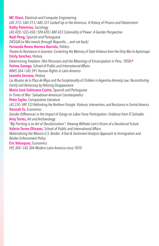**MC Otani,** Electrical and Computer Engineering *LAS 313 / LAO 313 / AAS 331 Locked Up in the Americas: A History of Prisons and Detainment* **Kathy Palomino,** Sociology *LAS 420 / GSS 458 / SPA 420 / ANT 423 Coloniality of Power: A Gender Perspective* **Noel Peng,** Spanish and Portuguese *DIÓJUÀ (or Mai travels through Nepantla ... and not back)* **Fernanda Romo Herrera Ibarrola,** Politics *Theatre As Resistance in Guerrero: Contesting the Memory of State Violence from the Dirty War to Ayotzinapa* **Emily Sánchez,** History *Determining Freedom: Afro-Peruvians and the Meanings of Emancipation in Peru, 1850s***\* Fatima Sanogo,** School of Public and International Affairs *WWS 364 / LAS 391 Human Rights in Latin America* **Leonela Serrano,** History *Las Abuelas de la Plaza de Mayo and the Exceptionality of Children in Argentina Amnesty Law: Reconstituting Family and Democracy by Refuting Disappearance* **María José Solórzano-Castro,** Spanish and Portuguese *In Times of War: Salvadoran-American Counterpoetics* **Peter Taylor,** Comparative Literature *LAS 234 / ANT 333 Rethinking the Northern Triangle: Violence, Intervention, and Resistance in Central America* **Hannah To,** Economics *Gender Differences in the Impact of Gangs on Labor Force Participation: Evidence from El Salvador* **Amy Torres,** Art and Archaeology *"My Painting is an Act of Decolonization": Viewing Wifredo Lam's Vision of a Decolonial Future* **Valeria Torres-Olivares,** School of Public and International Affairs *Materializing the Mexico-U.S. Border: A Text & Sentiment Analysis Approach to Immigration and Border Enforcement Policy* **Eric Velasquez,** Economics *HIS 304 / LAS 304 Modern Latin America since 1810*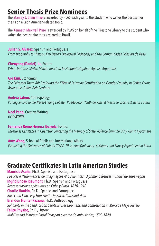### **Senior Thesis Prize Nominees**

The Stanley J. Stein Prize is awarded by PLAS each year to the student who writes the best senior thesis on a Latin Amerian-related topic.

The Kenneth Maxwell Prize is awarded by PLAS on behalf of the Firestone Library to the student who writes the best senior thesis related to Brazil.

**Julian S. Alvarez,** Spanish and Portuguese *From Biography to History: Frei Betto's Dialectical Pedagogy and the Comunidades Eclesiais de Base*

**Chenyang (Daniel) Ju,** Politics *When Vultures Strike: Market Reaction to Holdout Litigation Against Argentina*

**Gio Kim,** Economics *The Fairest of Them All: Exploring the Effect of Fairtrade Certification on Gender Equality in Coffee Farms Across the Coffee Belt Regions*

**Andrea Latoni,** Anthropology *Putting an End to the Never-Ending Debate: Puerto Rican Youth on What It Means to Look Past Status Politics* 

**Noel Peng,** Creative Writing *GODWORD* 

**Fernanda Romo Herrera Ibarrola,** Politics *Theatre as Resistance in Guerrero: Contesting the Memory of State Violence from the Dirty War to Ayotzinapa*

**Amy Wang,** School of Public and International Affairs *Evaluating the Outcomes of China's COVID-19 Vaccine Diplomacy: A Natural and Survey Experiment in Brazil*

## **Graduate Certificates in Latin American Studies**

**Mauricio Acuña,** Ph.D., Spanish and Portuguese *Poéticas e Performances de Imaginações Afro-Atlânticas: O primeiro festival mundial de artes negras* **Ingrid Brioso Rieumont,** Ph.D., Spanish and Portuguese *Representaciones póstumas en Cuba y Brasil, 1870-1910* **Charlie Hankin,** Ph.D., Spanish and Portuguese *Break and Flow: Hip Hop Poetics in Brazil, Cuba and Haiti* **Brandon Hunter-Pazzara,** Ph.D., Anthropology *Solidarity in the Sand: Labor, Capitalist Development, and Contestation in Mexico's Maya Riviera* **Felice Physioc,** Ph.D., History *Mobility and Markets: Postal Transport over the Colonial Andes, 1590-1820*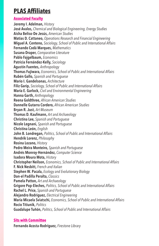### **PLAS Affiliates**

#### **Associated Faculty**

**Jeremy I. Adelman,** *History* **José Avalos,** *Chemical and Biological Engineering, Energy Studies* **Aisha Beliso-De Jesús,** *American Studies* **Matias D. Cattaneo,** *Operations Research and Financial Engineering* **Miguel A. Centeno,** *Sociology, School of Public and International Affairs* **Fernando Codá Marques,** *Mathematics* **Susana Draper,** *Comparative Literature* **Pablo Fajgelbaum,** *Economics* **Patricia Fernández-Kelly,** *Sociology* **Agustín Fuentes,** *Anthropology* **Thomas Fujiwara,** *Economics, School of Public and International Affairs* **Rubén Gallo,** *Spanish and Portuguese* **Mario I. Gandelsonas,** *Architecture* **Filiz Garip,** *Sociology, School of Public and International Affairs* **Maria E. Garlock,** *Civil and Environmental Engineering* **Hanna Garth,** *Anthropology* **Reena Goldthree,** *African American Studies* **Dannelle Gutarra Cordero,** *African American Studies* **Bryan R. Just,** *Art Museum* **Thomas D. Kaufmann,** *Art and Archaeology* **Christina Lee,** *Spanish and Portuguese* **Nicole Legnani,** *Spanish and Portuguese* **Christina León,** *English* **John B. Londregan,** *Politics, School of Public and International Affairs* **Hendrik Lorenz,** *Philosophy* **Rosina Lozano,** *History* **Pedro Meira Monteiro,** *Spanish and Portuguese* **Andrés Monroy-Hernández,** *Computer Science* **Isadora Moura Mota,** *History* **Christopher Neilson,** *Economics, School of Public and International Affairs* **F. Nick Nesbitt,** *French and Italian* **Stephen W. Pacala,** *Ecology and Evolutionary Biology*  **Dan-el Padilla Peralta,** *Classics* **Pamela Patton,** *Art and Archaeology* **Grigore Pop-Eleches,** *Politics, School of Public and International Affairs* **Rachel L. Price,** *Spanish and Portuguese* **Alejandro Rodriguez,** *Electrical Engineering* **Maria Micaela Sviatschi,** *Economics, School of Public and International Affairs* **Rocio Titiunik,** *Politics* **Guadalupe Tuñón,** *Politics, School of Public and International Affairs*

#### **Sits with Committee**

**Fernando Acosta-Rodríguez,** *Firestone Library*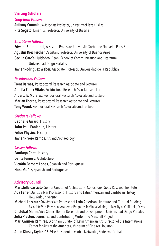#### **Visiting Scholars**

#### **Long-term Fellows**

**Anthony Cummings,** Associate Professor, University of Texas Dallas **Rita Segato,** Emeritus Professor, University of Brasilia

#### **Short-term Fellows**

**Edward Blumenthal,** Assistant Professor, Université Sorbonne Nouvelle Paris 3 **Agustín Díez Fischer,** Assistant Professor, University of Buenos Aires **Cecilia García-Huidobro,** Dean, School of Communication and Literature, Universidad Diego Portales **Javier Rodriguez Weber,** Associate Professor, Universidad de la República

#### **Postdoctoral Fellows**

**Trent Barnes,** Postdoctoral Research Associate and Lecturer **Amelia Frank-Vitale,** Postdoctoral Research Associate and Lecturer **Alberto E. Morales,** Postdoctoral Research Associate and Lecturer **Marian Thorpe,** Postdoctoral Research Associate and Lecturer **Tony Wood,** Postdoctoral Research Associate and Lecturer

#### **Graduate Fellows**

**Gabrielle Girard,** History **John Paul Paniagua,** History **Felice Physioc,** History **Javier Rivero Ramos,** Art and Archaeology

#### **Lassen Fellows**

**Santiago Conti,** History **Dante Furioso,** Architecture **Victória Bárbara Lopes,** Spanish and Portuguese **Nora Muñiz,** Spanish and Portuguese

#### **Advisory Council**

**Maristella Casciato,** Senior Curator of Architectural Collections, Getty Research Institute **Ada Ferrer,** Julius Silver Professor of History and Latin American and Caribbean History, New York University **Michael Lazzara \*04,** Associate Professor of Latin American Literature and Cultural Studies; Associate Vice Provost of Academic Programs in Global Affairs, University of California, Davis **Cristóbal Marín,** Vice Chancellor for Research and Development, Universidad Diego Portales **Julia Preston,** Journalist and Contributing Writer, The Marshall Project **Mari Carmen Ramirez,** Wortham Curator of Latin American Art; Director of the International Center for Arts of the Americas, Museum of Fine Art Houston **Allen Kinsey Taylor '03,** Vice President of Global Networks, Endeavor Global